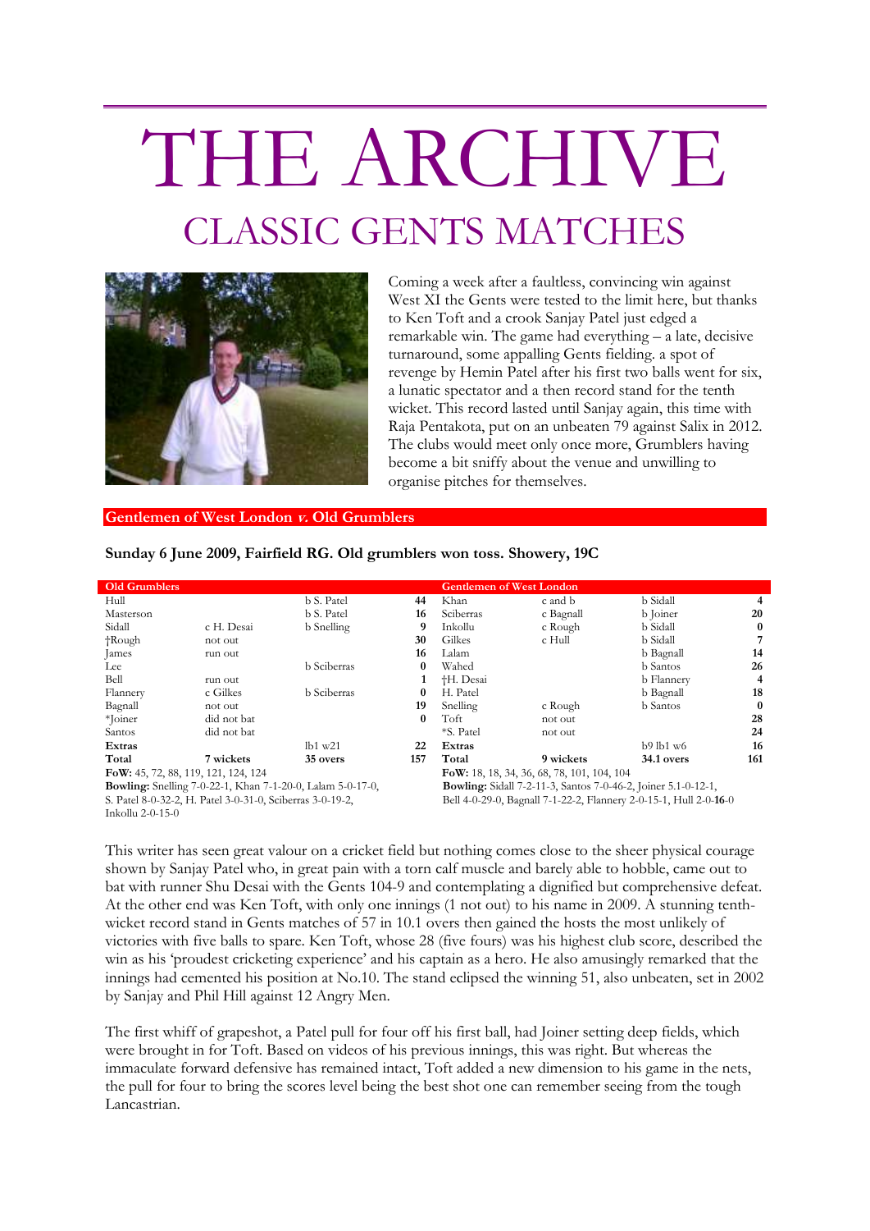## THE ARCHIVE CLASSIC GENTS MATCHES



Coming a week after a faultless, convincing win against West XI the Gents were tested to the limit here, but thanks to Ken Toft and a crook Sanjay Patel just edged a remarkable win. The game had everything – a late, decisive turnaround, some appalling Gents fielding. a spot of revenge by Hemin Patel after his first two balls went for six, a lunatic spectator and a then record stand for the tenth wicket. This record lasted until Sanjay again, this time with Raja Pentakota, put on an unbeaten 79 against Salix in 2012. The clubs would meet only once more, Grumblers having become a bit sniffy about the venue and unwilling to organise pitches for themselves.

## **Gentlemen of West London v. Old Grumblers**

**Sunday 6 June 2009, Fairfield RG. Old grumblers won toss. Showery, 19C**

| <b>Old Grumblers</b>                                              |             |                    |          | <b>Gentlemen of West London</b>                                      |           |                   |          |
|-------------------------------------------------------------------|-------------|--------------------|----------|----------------------------------------------------------------------|-----------|-------------------|----------|
| Hull                                                              |             | b S. Patel         | 44       | Khan                                                                 | c and b   | b Sidall          | 4        |
| Masterson                                                         |             | b S. Patel         | 16       | Sciberras                                                            | c Bagnall | b Joiner          | 20       |
| Sidall                                                            | c H. Desai  | <b>b</b> Snelling  | 9        | Inkollu                                                              | c Rough   | b Sidall          | $\bf{0}$ |
| $\dagger$ Rough                                                   | not out     |                    | 30       | Gilkes                                                               | c Hull    | b Sidall          | 7        |
| James                                                             | run out     |                    | 16       | Lalam                                                                |           | b Bagnall         | 14       |
| Lee                                                               |             | <b>b</b> Sciberras | $\bf{0}$ | Wahed                                                                |           | <b>b</b> Santos   | 26       |
| Bell                                                              | run out     |                    |          | <sup>†</sup> H. Desai                                                |           | <b>b</b> Flannery | 4        |
| Flannery                                                          | c Gilkes    | <b>b</b> Sciberras | $\bf{0}$ | H. Patel                                                             |           | b Bagnall         | 18       |
| Bagnall                                                           | not out     |                    | 19       | Snelling                                                             | c Rough   | <b>b</b> Santos   | $\bf{0}$ |
| *Joiner                                                           | did not bat |                    | $\bf{0}$ | Toft                                                                 | not out   |                   | 28       |
| Santos                                                            | did not bat |                    |          | *S. Patel                                                            | not out   |                   | 24       |
| Extras                                                            |             | lb1 w21            | 22       | Extras                                                               |           | $b9$ lb1 w6       | 16       |
| Total                                                             | 7 wickets   | 35 overs           | 157      | Total                                                                | 9 wickets | 34.1 overs        | 161      |
| FoW: 45, 72, 88, 119, 121, 124, 124                               |             |                    |          | FoW: 18, 18, 34, 36, 68, 78, 101, 104, 104                           |           |                   |          |
| <b>Bowling:</b> Snelling 7-0-22-1, Khan 7-1-20-0, Lalam 5-0-17-0, |             |                    |          | <b>Bowling:</b> Sidall 7-2-11-3, Santos 7-0-46-2, Joiner 5.1-0-12-1, |           |                   |          |
| S. Patel 8-0-32-2, H. Patel 3-0-31-0, Sciberras 3-0-19-2,         |             |                    |          | Bell 4-0-29-0, Bagnall 7-1-22-2, Flannery 2-0-15-1, Hull 2-0-16-0    |           |                   |          |

Inkollu 2-0-15-0

Bell 4-0-29-0, Bagnall 7-1-22-2, Flannery 2-0-15-1, Hull 2-0-**16**-0

This writer has seen great valour on a cricket field but nothing comes close to the sheer physical courage shown by Sanjay Patel who, in great pain with a torn calf muscle and barely able to hobble, came out to bat with runner Shu Desai with the Gents 104-9 and contemplating a dignified but comprehensive defeat. At the other end was Ken Toft, with only one innings (1 not out) to his name in 2009. A stunning tenthwicket record stand in Gents matches of 57 in 10.1 overs then gained the hosts the most unlikely of victories with five balls to spare. Ken Toft, whose 28 (five fours) was his highest club score, described the win as his 'proudest cricketing experience' and his captain as a hero. He also amusingly remarked that the innings had cemented his position at No.10. The stand eclipsed the winning 51, also unbeaten, set in 2002 by Sanjay and Phil Hill against 12 Angry Men.

The first whiff of grapeshot, a Patel pull for four off his first ball, had Joiner setting deep fields, which were brought in for Toft. Based on videos of his previous innings, this was right. But whereas the immaculate forward defensive has remained intact, Toft added a new dimension to his game in the nets, the pull for four to bring the scores level being the best shot one can remember seeing from the tough Lancastrian.